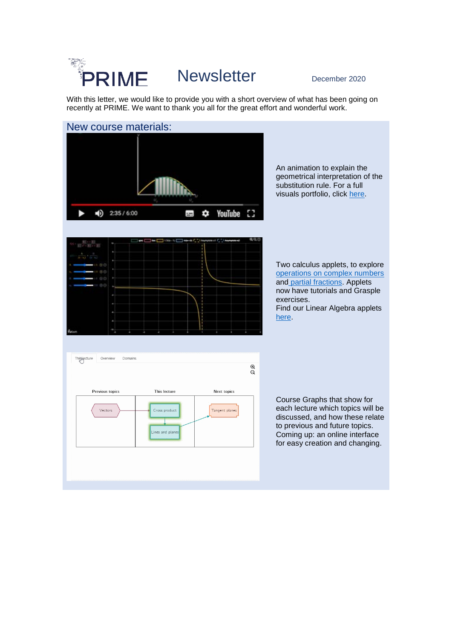### ta dhe<br>Br Newsletter December 2020 PRIME

With this letter, we would like to provide you with a short overview of what has been going on recently at PRIME. We want to thank you all for the great effort and wonderful work.

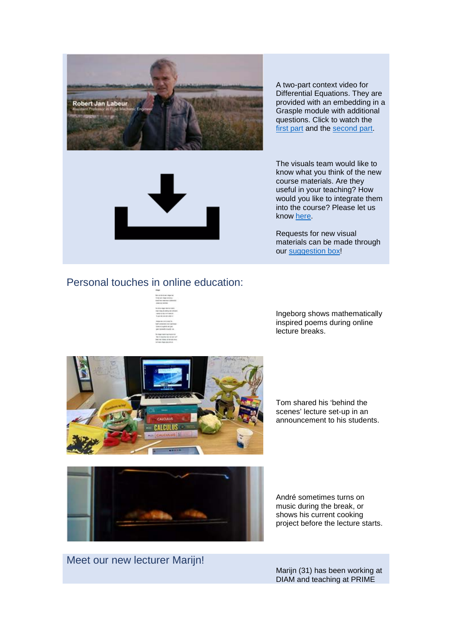

A two-part context video for Differential Equations. They are provided with an embedding in a Grasple module with additional questions. Click to watch the [first part](https://youtu.be/qaJrzK43v3U) and the [second part.](https://youtu.be/FAyEukgFGI4)



The visuals team would like to know what you think of the new course materials. Are they useful in your teaching? How would you like to integrate them into the course? Please let us know [here.](https://docs.google.com/document/d/1dboyQolenf7KW8KnRaFE8Irw2VovSN1ZQjaPOOxTe1U/edit?usp=sharing)

Requests for new visual materials can be made through our [suggestion box!](https://docs.google.com/document/d/1uwDEjOdGDiHtgRnDmt2wV12FY3fmNshJ8Mcy-vZgszc/edit?usp=sharing)

## Personal touches in online education:

Ingeborg shows mathematically inspired poems during online lecture breaks.



Tom shared his 'behind the scenes' lecture set-up in an announcement to his students.



André sometimes turns on music during the break, or shows his current cooking project before the lecture starts.

Meet our new lecturer Marijn!

Marijn (31) has been working at DIAM and teaching at PRIME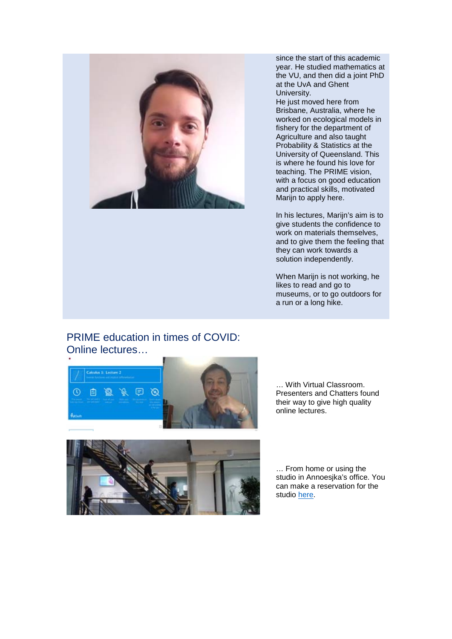

since the start of this academic year. He studied mathematics at the VU, and then did a joint PhD at the UvA and Ghent University.

He just moved here from Brisbane, Australia, where he worked on ecological models in fishery for the department of Agriculture and also taught Probability & Statistics at the University of Queensland. This is where he found his love for teaching. The PRIME vision, with a focus on good education and practical skills, motivated Marijn to apply here.

In his lectures, Marijn's aim is to give students the confidence to work on materials themselves, and to give them the feeling that they can work towards a solution independently.

When Marijn is not working, he likes to read and go to museums, or to go outdoors for a run or a long hike.

# PRIME education in times of COVID: Online lectures…



… With Virtual Classroom. Presenters and Chatters found their way to give high quality online lectures.



… From home or using the studio in Annoesjka's office. You can make a reservation for the studio [here.](https://drive.google.com/file/d/1Dt4M0cAjxrQWPeKStGTtrOZQRBozE4Gc/view?usp=sharing)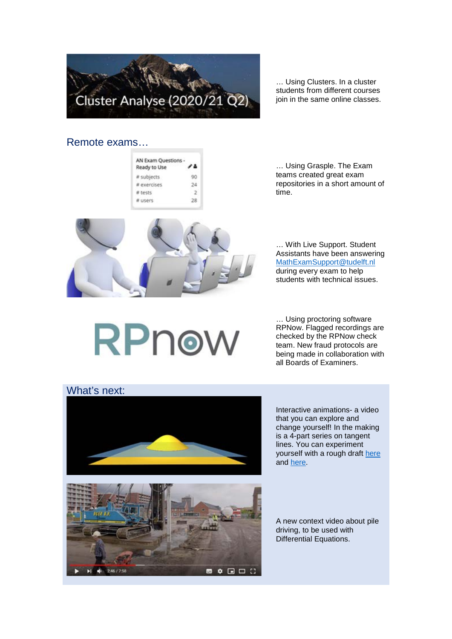

… Using Clusters. In a cluster students from different courses join in the same online classes.

### Remote exams…

| Ready to Use |  |
|--------------|--|
| subjects     |  |
|              |  |
| tests        |  |
| けたのがた        |  |



… Using Grasple. The Exam teams created great exam repositories in a short amount of time.

… With Live Support. Student Assistants have been answering [MathExamSupport@tudelft.nl](mailto:MathExamSupport@tudelft.nl) during every exam to help students with technical issues.

RPnow

… Using proctoring software RPNow. Flagged recordings are checked by the RPNow check team. New fraud protocols are being made in collaboration with all Boards of Examiners.



Interactive animations- a video that you can explore and change yourself! In the making is a 4-part series on tangent lines. You can experiment yourself with a rough draft [here](https://sranjha.github.io/prime-interactive-videos/#/part3) and [here.](https://sranjha.github.io/prime-interactive-videos/#/part4)



A new context video about pile driving, to be used with Differential Equations.